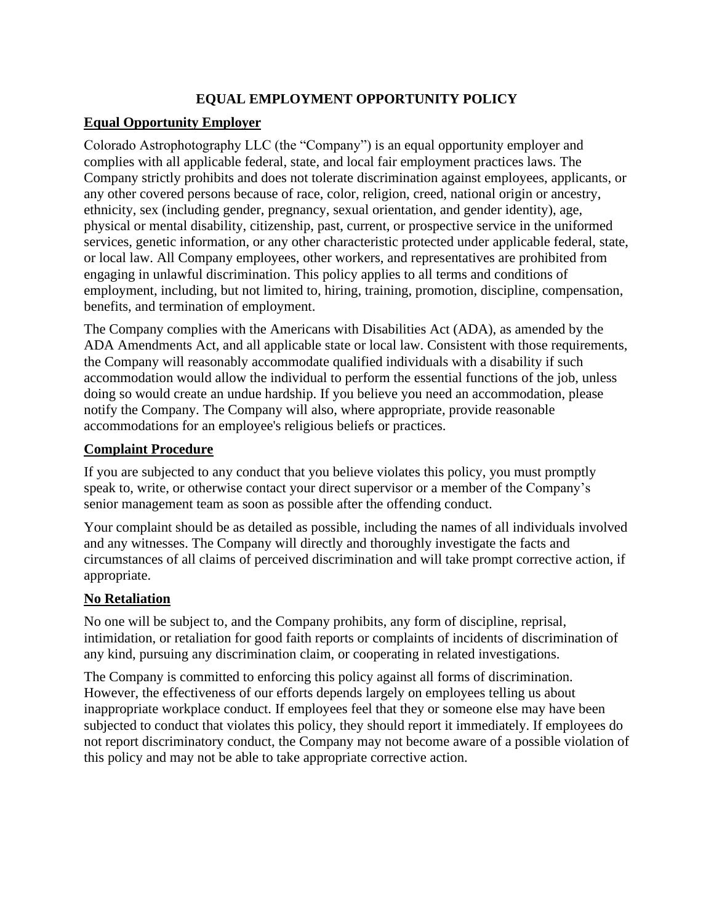# **EQUAL EMPLOYMENT OPPORTUNITY POLICY**

## **Equal Opportunity Employer**

Colorado Astrophotography LLC (the "Company") is an equal opportunity employer and complies with all applicable federal, state, and local fair employment practices laws. The Company strictly prohibits and does not tolerate discrimination against employees, applicants, or any other covered persons because of race, color, religion, creed, national origin or ancestry, ethnicity, sex (including gender, pregnancy, sexual orientation, and gender identity), age, physical or mental disability, citizenship, past, current, or prospective service in the uniformed services, genetic information, or any other characteristic protected under applicable federal, state, or local law. All Company employees, other workers, and representatives are prohibited from engaging in unlawful discrimination. This policy applies to all terms and conditions of employment, including, but not limited to, hiring, training, promotion, discipline, compensation, benefits, and termination of employment.

The Company complies with the Americans with Disabilities Act (ADA), as amended by the ADA Amendments Act, and all applicable state or local law. Consistent with those requirements, the Company will reasonably accommodate qualified individuals with a disability if such accommodation would allow the individual to perform the essential functions of the job, unless doing so would create an undue hardship. If you believe you need an accommodation, please notify the Company. The Company will also, where appropriate, provide reasonable accommodations for an employee's religious beliefs or practices.

#### **Complaint Procedure**

If you are subjected to any conduct that you believe violates this policy, you must promptly speak to, write, or otherwise contact your direct supervisor or a member of the Company's senior management team as soon as possible after the offending conduct.

Your complaint should be as detailed as possible, including the names of all individuals involved and any witnesses. The Company will directly and thoroughly investigate the facts and circumstances of all claims of perceived discrimination and will take prompt corrective action, if appropriate.

#### **No Retaliation**

No one will be subject to, and the Company prohibits, any form of discipline, reprisal, intimidation, or retaliation for good faith reports or complaints of incidents of discrimination of any kind, pursuing any discrimination claim, or cooperating in related investigations.

The Company is committed to enforcing this policy against all forms of discrimination. However, the effectiveness of our efforts depends largely on employees telling us about inappropriate workplace conduct. If employees feel that they or someone else may have been subjected to conduct that violates this policy, they should report it immediately. If employees do not report discriminatory conduct, the Company may not become aware of a possible violation of this policy and may not be able to take appropriate corrective action.